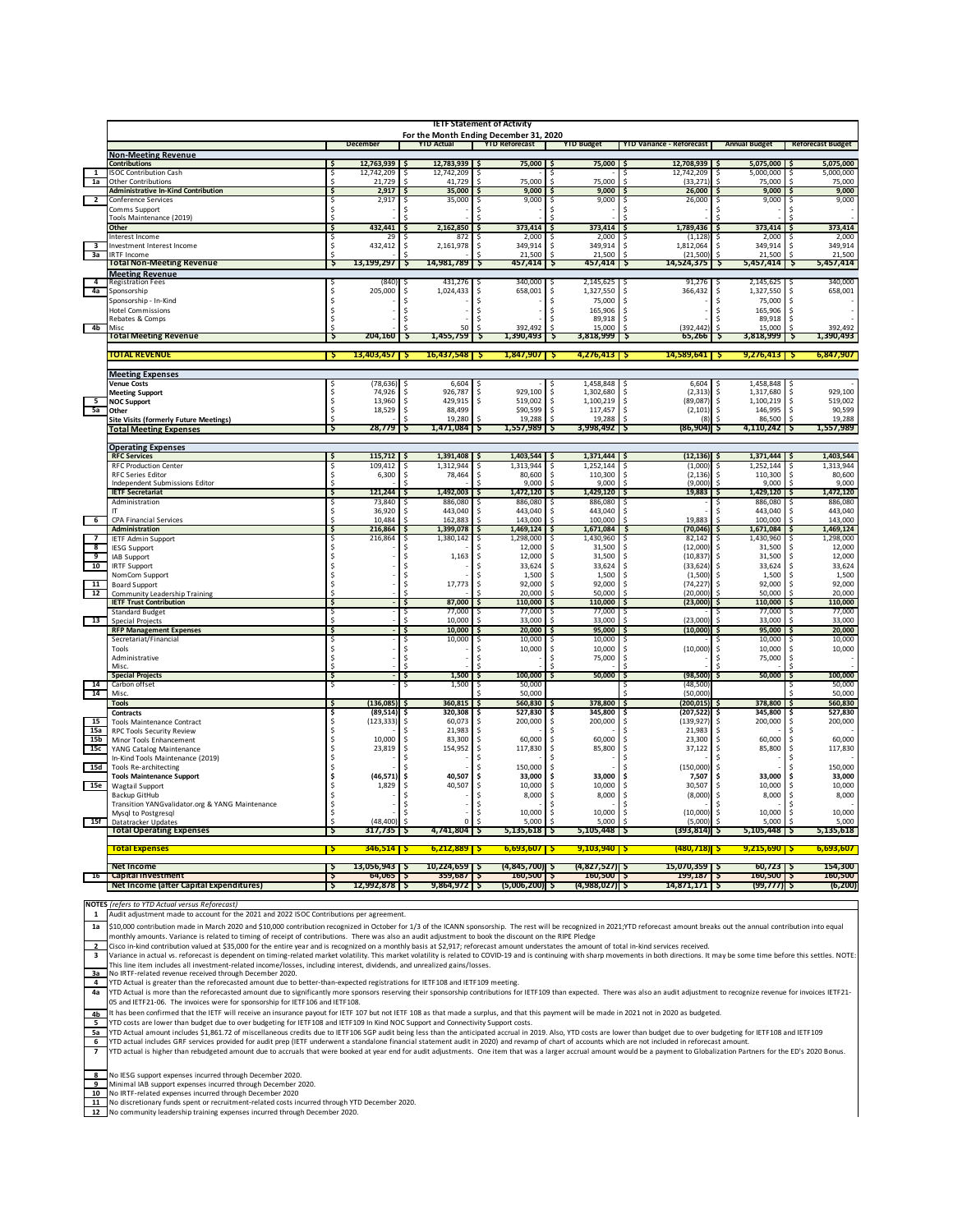|                                        | <b>IETF Statement of Activity</b>                                     |                         |                             |                           |                          |                            |                                  |                             |                              |
|----------------------------------------|-----------------------------------------------------------------------|-------------------------|-----------------------------|---------------------------|--------------------------|----------------------------|----------------------------------|-----------------------------|------------------------------|
| For the Month Ending December 31, 2020 |                                                                       |                         |                             |                           |                          |                            |                                  |                             |                              |
|                                        |                                                                       | December                |                             | <b>YTD Actual</b>         | <b>YTD Reforecast</b>    | <b>YTD Budget</b>          | <b>YTD Variance - Reforecast</b> | <b>Annual Budget</b>        | <b>Reforecast Budget</b>     |
|                                        | <b>Non-Meeting Revenue</b>                                            |                         |                             |                           |                          |                            |                                  |                             |                              |
|                                        | Contributions                                                         |                         | 12,763,939                  | 12,783,939                | 75,000 \$                | 75,000                     | 12,708,939                       | 5,075,000                   | 5,075,000                    |
| 1                                      | <b>ISOC Contribution Cash</b>                                         | S<br>12,742,209         |                             | 12,742,209                |                          |                            | 12,742,209                       | 5,000,000                   | 5,000,000                    |
| <b>1a</b>                              | <b>Other Contributions</b>                                            | Ś                       | 21,729                      | 41,729                    | 75,000                   | 75,000                     | (33, 271)                        | 75,000                      | 75,000                       |
| $^{-2}$                                | <b>Administrative In-Kind Contribution</b><br>Conference Services     |                         | 2,917<br>2,917              | 35,000<br>35,000          | 9,000<br>9,000           | 9,000<br>9,000             | 26,000<br>26,000                 | 9,000<br>9,000              | 9,000<br>9,000               |
|                                        | Comms Support                                                         | Ś                       |                             |                           |                          |                            |                                  |                             |                              |
|                                        | Tools Maintenance (2019)                                              |                         |                             |                           |                          |                            |                                  |                             |                              |
|                                        | Other                                                                 | S                       | 432,441                     | 2,162,850                 | 373,414                  | 373,414                    | 1,789,436                        | 373,414                     | 373,414                      |
|                                        | nterest Income                                                        | Ś                       | 29                          | 872                       | 2,000<br>s               | 2.000                      | $(1,\overline{128}]$<br>s        | 2.000                       | 2,000<br>s                   |
| 3                                      | Investment Interest Income                                            | Ś                       | 432,412                     | Ś<br>2,161,978            | 349,914<br>Ś             | 349,914                    | 1,812,064                        | 349,914                     | 349,914<br>Ś                 |
| <sup>3a</sup>                          | <b>IRTF Income</b>                                                    |                         |                             |                           | 21.500                   | 21.500                     | (21.500)                         | 21.500                      | 21.500                       |
|                                        | <b>Total Non-Meeting Revenue</b>                                      | 13, 199, 297<br>5       |                             | 14,981,789<br>-5          | 457,414                  | 457,414                    | 14,524,375                       | 5,457,414<br>-5             | 5,457,414                    |
|                                        | <b>Meeting Revenue</b>                                                |                         |                             |                           |                          |                            |                                  |                             |                              |
|                                        | Registration Fees                                                     |                         | (840                        | 431,276                   | 340,000                  | 2,145,625                  | 91,276                           | 2,145,625                   | 340,000                      |
| <sup>4</sup> a                         | Sponsorship                                                           | \$                      | 205,000                     | 1,024,433<br>Ś            | 658,001<br>Ŝ             | <sup>\$</sup><br>1,327,550 | <sup>\$</sup><br>366,432         | Ś<br>1,327,550              | Ś<br>658,001                 |
|                                        | Sponsorship - In-Kind                                                 | Ŝ                       |                             |                           | Ś                        | 75,000                     | -S                               | 75,000<br>Ŝ                 | Ś                            |
|                                        | <b>Hotel Commissions</b><br>Rebates & Comps                           | s                       |                             |                           |                          | 165,906<br>89.918          |                                  | 165,906<br>89.918           | \$<br>\$                     |
| 4 <sub>b</sub>                         | Mis                                                                   |                         |                             | 50                        | 392,492                  | 15,000                     | (392,442)                        | 15,000                      | 392,492                      |
|                                        | <b>Iotal Meeting Revenue</b>                                          | -2                      | 204,160 \$                  | 1,455,759 \$              | 1.390.493                | 3,818,999<br>-5            | 65.Zbb                           | 3,818,999<br>-5             | 1,390,493<br>75              |
|                                        |                                                                       |                         |                             |                           |                          |                            |                                  |                             |                              |
|                                        | <b>TOTAL REVENUE</b>                                                  | $13,403,457$   \$<br>-5 |                             | $16,437,548$   \$         | $1,847,907$ \$           | $4,276,413$ \$             | $14,589,641$ \$                  | 9,276,413                   | 6,847,907                    |
|                                        |                                                                       |                         |                             |                           |                          |                            |                                  |                             |                              |
|                                        | <b>Meeting Expenses</b>                                               |                         |                             |                           |                          |                            |                                  |                             |                              |
|                                        | <b>Venue Costs</b>                                                    | \$<br>\$                | (78.636)                    | 6.604                     | S <sub>10</sub>          | 1,458,848                  | 6.604                            | 1,458,848                   |                              |
|                                        | <b>Meeting Support</b>                                                |                         | 74,926                      | 926,787                   | 929,100                  | 1,302,680                  | (2, 313)                         | Ś<br>1,317,680              | 929,100                      |
| 5                                      | <b>NOC Support</b>                                                    | Ś                       | 13,960                      | 429,915<br>S              | 519,002<br>S             | 1,100,219<br>.s            | (89,087)                         | 1,100,219<br>Ŝ              | 519,002<br>Ŝ                 |
| 5a                                     | Other                                                                 | Ś                       | 18,529                      | 88,499                    | \$90,599                 | 117,457                    | (2, 101)                         | 146,995                     | Ś<br>90,599                  |
|                                        | <b>Site Visits (formerly Future Meetings)</b>                         |                         |                             | 19.280                    | 19.288                   | 19.288                     |                                  | 86,500                      | 19.288                       |
|                                        | <b>Total Meeting Expenses</b>                                         | `Ş                      | 28.779                      | 1,471,084<br>-5           | 1,557,989                | 3,998,492                  | (86,904)                         | 4,110,242                   | 1,557,989                    |
|                                        |                                                                       |                         |                             |                           |                          |                            |                                  |                             |                              |
|                                        | <b>Operating Expenses</b><br><b>RFC Services</b>                      | S                       | $115,712$ \$                | 1,391,408 \$              | 1,403,544                | 1,371,444<br>⊤ร            | $(12.136)$ S                     | 1,371,444 \$                | 1,403,544                    |
|                                        | <b>RFC Production Center</b>                                          | Ś                       | 109.412                     | 1.312.944                 | 1.313.944<br>-S          | 1,252,144                  | (1,000)                          | 1.252.144<br>.S             | 1.313.944<br>.S              |
|                                        | <b>RFC Series Editor</b>                                              | \$                      | 6,300                       | 78,464                    | 80,600                   | 110,300                    | (2, 136)                         | 110,300                     | 80,600                       |
|                                        | Independent Submissions Editor                                        |                         |                             |                           | 9,000                    | 9,000                      | (9,000)                          | 9,000                       | 9,000                        |
|                                        | <b>IETF Secretariat</b>                                               | \$                      | 121,244                     | 1,492,003                 | 1,472,120                | 1,429,120                  | 19,883                           | 1,429,120                   | 1,472,120                    |
|                                        | Administration                                                        | \$                      | 73,840                      | 886,080                   | 886,080                  | 886,080                    |                                  | 886,080                     | 886,080                      |
|                                        |                                                                       | \$                      | 36,920                      | 443,040                   | 443,040                  | 443,040                    |                                  | 443,040                     | \$<br>443,040                |
| $-6$                                   | <b>CPA Financial Services</b>                                         |                         | 10,484                      | 162.883                   | 143,000                  | 100,000                    | 19.883                           | 100,000                     | 143,000                      |
|                                        | Administration                                                        | Ŝ                       | 216,864                     | 1,399,078                 | 1,469,124<br>-Ś          | 1,671,084<br>-S            | (70, 046)                        | 1,671,084                   | 1,469,124                    |
| 7                                      | <b>IETF Admin Support</b>                                             |                         | 216.864                     | 1.380.142                 | 1.298.000                | 1.430.960                  | 82.142                           | 1,430,960                   | 1.298.000                    |
| 8                                      | <b>IESG Support</b>                                                   |                         |                             |                           | 12,000                   | 31,500                     | (12,000)                         | 31,500                      | 12,000                       |
| 9                                      | IAB Support                                                           |                         |                             | 1,163                     | 12,000<br>.s             | 31,500                     | (10, 837)                        | 31,500<br>\$                | 12,000<br>\$                 |
| 10                                     | <b>IRTF Support</b>                                                   |                         |                             |                           | 33,624                   | 33,624                     | (33, 624)                        | Ś<br>33,624                 | 33,624                       |
| 11                                     | NomCom Support                                                        |                         |                             |                           | 1,500<br>92,000<br>-Ś    | 1,500<br>92,000            | (1,500)<br>(74, 227)             | \$<br>1,500<br>92,000<br>Ŝ. | 1,500<br>92,000<br>Ŝ.        |
| 12                                     | <b>Board Support</b>                                                  |                         |                             | 17,773                    | 20,000                   | 50.000                     | (20,000)                         | 50,000                      | 20,000                       |
|                                        | Community Leadership Training<br><b>IETF Trust Contribution</b>       | Ŝ.                      |                             | 87.000<br>-S              | 110.000<br>-S            | 110,000<br>-S              | (23,000)<br>-S                   | 110.000<br>-S               | 110.000<br>.s                |
|                                        | <b>Standard Budget</b>                                                | \$                      |                             | 77,000                    | 77,000                   | 77,000                     |                                  | 77,000                      | 77,000                       |
| $\sqrt{13}$                            | pecial Project                                                        |                         |                             | 10,000                    | 33,000                   | 33,000                     | (23,000                          | 33,000                      | 33,000                       |
|                                        | <b>RFP Management Expenses</b>                                        | Ŝ                       |                             | Ŝ<br>10,000               | 20,000                   | 95,000                     | (10,000)                         | 95,000                      | 20,000                       |
|                                        | Secretariat/Financial                                                 | \$                      |                             | 10,000                    | 10,000                   | 10,000                     |                                  | 10,000                      | 10,000                       |
|                                        | Tools                                                                 | Ŝ.                      |                             |                           | 10,000                   | 10,000                     | (10,000)                         | 10,000<br>Ś                 | 10,000<br>Ŝ                  |
|                                        | Administrative                                                        |                         |                             |                           |                          | 75,000                     |                                  | 75,000                      |                              |
|                                        | Misc                                                                  |                         |                             |                           |                          |                            |                                  |                             |                              |
|                                        | <b>Special Projects</b>                                               |                         |                             | 1,500                     | 100,000                  | 50,000                     | (98, 500)                        | 50,000                      | 100,000                      |
| 14                                     | Carbon offset                                                         | S                       |                             | 1.500                     | 50.000                   |                            | (48.50)                          |                             | 50,000                       |
| 14                                     | Miso                                                                  |                         |                             | 360.815                   | 50,000                   |                            | (50,000)                         |                             | 50,000                       |
|                                        | <b>Tools</b><br>Contracts                                             | Ŝ.                      | $(136,085)$ \$<br>(89, 514) | 320,308                   | 560,830<br>ΙŚ<br>527,830 | 378,800<br>345,800         | (200.015)<br>-S<br>(207,522)     | 378,800<br>.s<br>345,800    | 560,830<br>- Ś<br>527,830    |
| 15                                     |                                                                       | Ŝ.                      | (123, 333)                  | 60.073                    | 200,000<br>.S            | 200,000                    | (139,927)<br>.S                  | 200,000                     | 200,000<br>Ś                 |
| 15a                                    | <b>Tools Maintenance Contract</b><br><b>RPC Tools Security Review</b> |                         |                             | 21,983                    |                          |                            | 21,983                           |                             |                              |
| 15b                                    | Minor Tools Enhancement                                               |                         | 10,000                      | S<br>83,300               | 60,000<br>÷.             | 60,000<br>÷,               | 23,300                           | 60,000<br>Š.                | 60,000<br>Ś                  |
| 15c                                    | YANG Catalog Maintenance                                              |                         | 23,819                      | 154,952<br>Ś              | 117,830<br>Ŝ             | 85,800<br>.\$              | 37,122                           | 85,800<br>Ś                 | Ś<br>117,830                 |
|                                        | In-Kind Tools Maintenance (2019)                                      |                         |                             |                           |                          |                            |                                  |                             |                              |
| <b>15d</b>                             | Tools Re-architecting                                                 |                         |                             |                           | 150,000                  |                            | (150,000)                        | s                           | 150,000                      |
|                                        | <b>Tools Maintenance Support</b>                                      |                         | (46, 571)                   | 40,507<br>S               | 33,000                   | 33,000                     | 7,507                            | 33,000                      | 33,000<br>\$                 |
| 15e                                    | Wagtail Support                                                       |                         | 1,829                       | 40,507<br>S.              | 10,000<br>-Ś             | 10,000<br>.\$              | 30,507<br>-                      | 10,000<br>\$                | 10,000<br>$\dot{\mathbf{S}}$ |
|                                        | Backup GitHub                                                         |                         |                             |                           | 8,000<br>S               | 8,000<br>-S                | (8,000)                          | 8,000<br>Ŝ                  | 8,000<br>Ś                   |
|                                        | Transition YANGvalidator.org & YANG Maintenance                       |                         |                             |                           |                          |                            |                                  |                             |                              |
|                                        | Mysql to Postgresql                                                   | \$                      |                             |                           | 10,000                   | 10,000                     | (10,000)                         | 10,000                      | 10,000                       |
| 15f                                    | Datatracker Update                                                    |                         | (48.400)                    |                           | 5.000                    | 5.000                      | (5.000)                          | 5.000                       | 5.000                        |
|                                        | <b>Total Operating Expenses</b>                                       | -5                      | 317,735                     | 4,741,804<br>-5           | 5,135,618<br>-5          | 5,105,448                  | (393, 814)                       | 5,105,448<br>Ξ.             | 5,135,618                    |
|                                        |                                                                       |                         |                             |                           |                          |                            |                                  |                             |                              |
|                                        | <b>Total Expenses</b>                                                 |                         | 346,514                     | $6,212,889$ $5$           | 6,693,601                | $9,103,940$ $\frac{5}{2}$  | (480.718                         | 9,215,690                   | b, b93, b07                  |
|                                        | <b>Net Income</b>                                                     | 13,056,943   \$         |                             | 10,224,659 \$             | (4, 845, 700)            | (4, 827, 527)              | 15,070,359 \$                    | $60,723$ S                  | 154,300                      |
| $-16$                                  | <b>Capital Investment</b>                                             | 5                       | 64,065                      | $359,687$ $\sqrt{5}$<br>י | 160,500                  | 160,500<br>IJ              | 199,187<br>-5                    | 160,500                     | 160,500<br>-5                |
|                                        | <b>Net Income (after Capital Expenditures)</b>                        | 12.992.878              |                             | 9,864,972 \$              | 5,006,200)               | (4,988,027)                | 14,871,171                       | (99, 777)                   | (6, 200)                     |

**NOTES** *(refers to YTD Actual versus Reforecast)*

**1** Audit adjustment made to account for the 2021 and 2022 ISOC Contributions per agreement.

**1a** \$10,000 contribution made in March 2020 and \$10,000 contribution recognized in October for 1/3 of the ICANN sponsorship. The rest will be recognized in 2021;YTD reforecast amount breaks out the annual contribution into equ

2 Cisco in-kind contribution valued at \$35,000 for the entire year and is recognized on a monthly basis at \$2,917; reforecast amount understates the amount of total in-kind services received. **3** Variance in actual vs. reforecast is dependent on timing-related market volatility. This market volatility is related to COVID-19 and is continuing with sharp movements in both directions. It may be some time before this s

**3a** No IRTF-related revenue received through December 2020. **4** YTD Actual is greater than the reforecasted amount due to better-than-expected registrations for IETF108 and IETF109 meeting.

**4a** YTD Actual is more than the reforecasted amount due to significantly more sponsors reserving their sponsorship contributions for IETF109 than expected. There was also an audit adjustment to recognize revenue for invoices I

the state confirmed that the IETF will receive an insurance payout for IETF 107 but not IETF 108 as that made a surplus, and that this payment will be made in 2021 not in 2020 as budgeted.<br>5 YTD costs are lower than budget

VTD Actual amount includes \$1,861.72 of miscellaneous credits due to IETF106 SGP audit being less than the anticipated accrual in 2019. Also, YTD costs are lower than budget due to over budgeting for IETF108 and IETF109 an

**7**

**8** No IESG support expenses incurred through December 2020. **9** Minimal IAB support expenses incurred through December 2020. **10** No IRTF-related expenses incurred through December 2020

**11** No discretionary funds spent or recruitment-related costs incurred through YTD December 2020. **12** No community leadership training expenses incurred through December 2020.